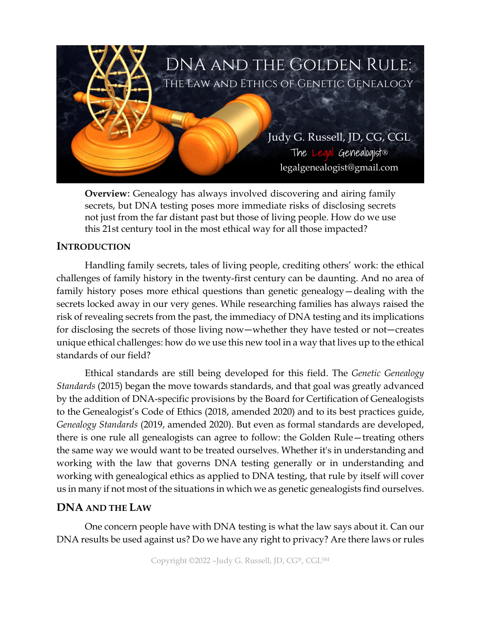

**Overview**: Genealogy has always involved discovering and airing family secrets, but DNA testing poses more immediate risks of disclosing secrets not just from the far distant past but those of living people. How do we use this 21st century tool in the most ethical way for all those impacted?

## **INTRODUCTION**

Handling family secrets, tales of living people, crediting others' work: the ethical challenges of family history in the twenty-first century can be daunting. And no area of family history poses more ethical questions than genetic genealogy—dealing with the secrets locked away in our very genes. While researching families has always raised the risk of revealing secrets from the past, the immediacy of DNA testing and its implications for disclosing the secrets of those living now―whether they have tested or not―creates unique ethical challenges: how do we use this new tool in a way that lives up to the ethical standards of our field?

Ethical standards are still being developed for this field. The *Genetic Genealogy Standards* (2015) began the move towards standards, and that goal was greatly advanced by the addition of DNA-specific provisions by the Board for Certification of Genealogists to the Genealogist's Code of Ethics (2018, amended 2020) and to its best practices guide, *Genealogy Standards* (2019, amended 2020). But even as formal standards are developed, there is one rule all genealogists can agree to follow: the Golden Rule—treating others the same way we would want to be treated ourselves. Whether it's in understanding and working with the law that governs DNA testing generally or in understanding and working with genealogical ethics as applied to DNA testing, that rule by itself will cover us in many if not most of the situations in which we as genetic genealogists find ourselves.

# **DNA AND THE LAW**

One concern people have with DNA testing is what the law says about it. Can our DNA results be used against us? Do we have any right to privacy? Are there laws or rules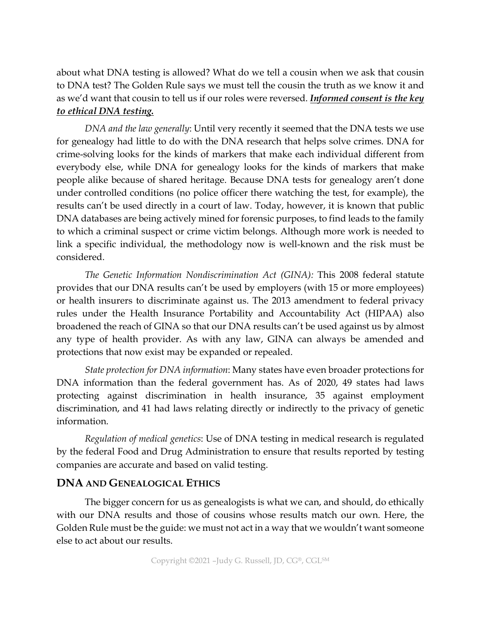about what DNA testing is allowed? What do we tell a cousin when we ask that cousin to DNA test? The Golden Rule says we must tell the cousin the truth as we know it and as we'd want that cousin to tell us if our roles were reversed. *Informed consent is the key to ethical DNA testing.*

*DNA and the law generally*: Until very recently it seemed that the DNA tests we use for genealogy had little to do with the DNA research that helps solve crimes. DNA for crime-solving looks for the kinds of markers that make each individual different from everybody else, while DNA for genealogy looks for the kinds of markers that make people alike because of shared heritage. Because DNA tests for genealogy aren't done under controlled conditions (no police officer there watching the test, for example), the results can't be used directly in a court of law. Today, however, it is known that public DNA databases are being actively mined for forensic purposes, to find leads to the family to which a criminal suspect or crime victim belongs. Although more work is needed to link a specific individual, the methodology now is well-known and the risk must be considered.

*The Genetic Information Nondiscrimination Act (GINA):* This 2008 federal statute provides that our DNA results can't be used by employers (with 15 or more employees) or health insurers to discriminate against us. The 2013 amendment to federal privacy rules under the Health Insurance Portability and Accountability Act (HIPAA) also broadened the reach of GINA so that our DNA results can't be used against us by almost any type of health provider. As with any law, GINA can always be amended and protections that now exist may be expanded or repealed.

*State protection for DNA information*: Many states have even broader protections for DNA information than the federal government has. As of 2020, 49 states had laws protecting against discrimination in health insurance, 35 against employment discrimination, and 41 had laws relating directly or indirectly to the privacy of genetic information.

*Regulation of medical genetics*: Use of DNA testing in medical research is regulated by the federal Food and Drug Administration to ensure that results reported by testing companies are accurate and based on valid testing.

# **DNA AND GENEALOGICAL ETHICS**

The bigger concern for us as genealogists is what we can, and should, do ethically with our DNA results and those of cousins whose results match our own. Here, the Golden Rule must be the guide: we must not act in a way that we wouldn't want someone else to act about our results.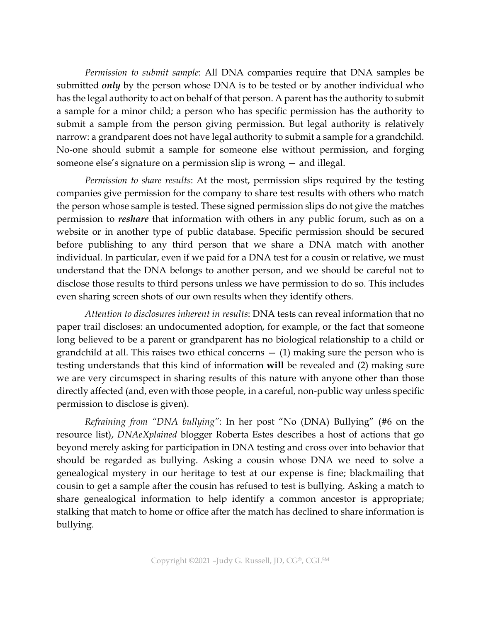*Permission to submit sample*: All DNA companies require that DNA samples be submitted *only* by the person whose DNA is to be tested or by another individual who has the legal authority to act on behalf of that person. A parent has the authority to submit a sample for a minor child; a person who has specific permission has the authority to submit a sample from the person giving permission. But legal authority is relatively narrow: a grandparent does not have legal authority to submit a sample for a grandchild. No-one should submit a sample for someone else without permission, and forging someone else's signature on a permission slip is wrong — and illegal.

*Permission to share results*: At the most, permission slips required by the testing companies give permission for the company to share test results with others who match the person whose sample is tested. These signed permission slips do not give the matches permission to *reshare* that information with others in any public forum, such as on a website or in another type of public database. Specific permission should be secured before publishing to any third person that we share a DNA match with another individual. In particular, even if we paid for a DNA test for a cousin or relative, we must understand that the DNA belongs to another person, and we should be careful not to disclose those results to third persons unless we have permission to do so. This includes even sharing screen shots of our own results when they identify others.

*Attention to disclosures inherent in results*: DNA tests can reveal information that no paper trail discloses: an undocumented adoption, for example, or the fact that someone long believed to be a parent or grandparent has no biological relationship to a child or grandchild at all. This raises two ethical concerns  $-$  (1) making sure the person who is testing understands that this kind of information **will** be revealed and (2) making sure we are very circumspect in sharing results of this nature with anyone other than those directly affected (and, even with those people, in a careful, non-public way unless specific permission to disclose is given).

*Refraining from "DNA bullying"*: In her post "No (DNA) Bullying" (#6 on the resource list), *DNAeXplained* blogger Roberta Estes describes a host of actions that go beyond merely asking for participation in DNA testing and cross over into behavior that should be regarded as bullying. Asking a cousin whose DNA we need to solve a genealogical mystery in our heritage to test at our expense is fine; blackmailing that cousin to get a sample after the cousin has refused to test is bullying. Asking a match to share genealogical information to help identify a common ancestor is appropriate; stalking that match to home or office after the match has declined to share information is bullying.